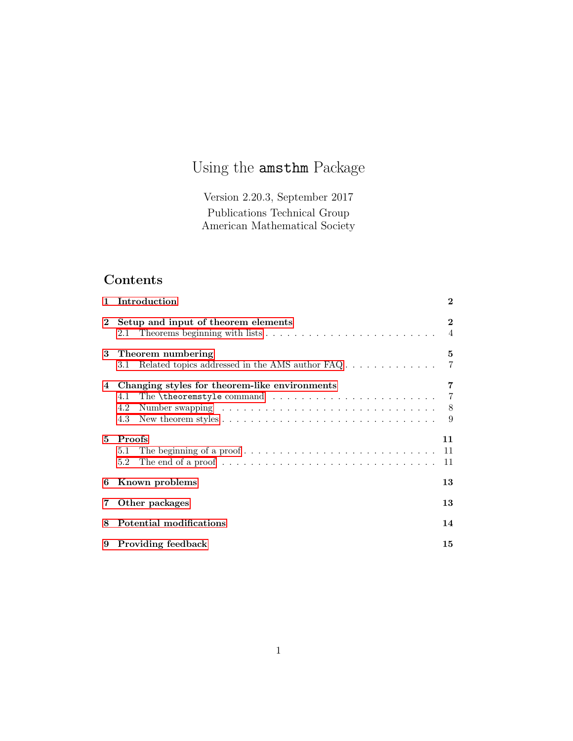# Using the amsthm Package

Version 2.20.3, September 2017 Publications Technical Group American Mathematical Society

## Contents

| $\mathbf{1}$   | Introduction                                                                                                                                    | $\bf{2}$                   |  |
|----------------|-------------------------------------------------------------------------------------------------------------------------------------------------|----------------------------|--|
| $\mathbf{2}$   | Setup and input of theorem elements                                                                                                             | $\bf{2}$<br>$\overline{4}$ |  |
|                | 3 Theorem numbering                                                                                                                             | 5                          |  |
|                | Related topics addressed in the AMS author $\text{FAQ} \dots \dots \dots \dots$<br>3.1 -                                                        | $\overline{7}$             |  |
|                | 4 Changing styles for theorem-like environments<br>The <b>\theoremstyle</b> command $\ldots \ldots \ldots \ldots \ldots$ 7<br>4.1<br>4.2<br>4.3 | 7<br>- 9                   |  |
| 5.             | <b>Proofs</b><br>5.1<br>The end of a proof $\dots \dots \dots \dots \dots \dots \dots \dots \dots \dots \dots \dots$<br>5.2                     | 11<br>11<br>11             |  |
| 6              | 13<br>Known problems                                                                                                                            |                            |  |
| $\overline{7}$ | Other packages                                                                                                                                  |                            |  |
| 8              | Potential modifications                                                                                                                         |                            |  |
|                | 9 Providing feedback<br>15                                                                                                                      |                            |  |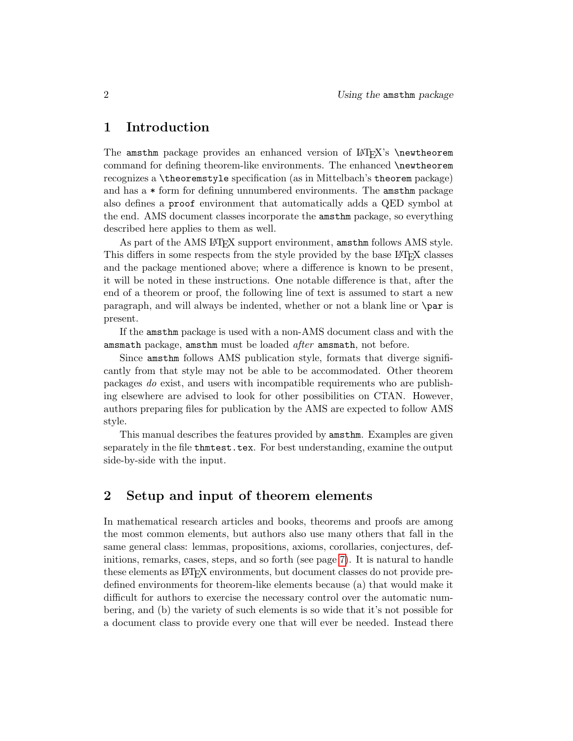## <span id="page-1-0"></span>1 Introduction

The amsthm package provides an enhanced version of  $L^2T_FX$ 's \newtheorem command for defining theorem-like environments. The enhanced \newtheorem recognizes a \theoremstyle specification (as in Mittelbach's theorem package) and has a \* form for defining unnumbered environments. The amsthm package also defines a proof environment that automatically adds a QED symbol at the end. AMS document classes incorporate the amsthm package, so everything described here applies to them as well.

As part of the AMS LAT<sub>F</sub>X support environment, amsthm follows AMS style. This differs in some respects from the style provided by the base LATEX classes and the package mentioned above; where a difference is known to be present, it will be noted in these instructions. One notable difference is that, after the end of a theorem or proof, the following line of text is assumed to start a new paragraph, and will always be indented, whether or not a blank line or \par is present.

If the amsthm package is used with a non-AMS document class and with the amsmath package, amsthm must be loaded after amsmath, not before.

Since amsthm follows AMS publication style, formats that diverge significantly from that style may not be able to be accommodated. Other theorem packages do exist, and users with incompatible requirements who are publishing elsewhere are advised to look for other possibilities on CTAN. However, authors preparing files for publication by the AMS are expected to follow AMS style.

This manual describes the features provided by amsthm. Examples are given separately in the file thmtest.tex. For best understanding, examine the output side-by-side with the input.

### <span id="page-1-1"></span>2 Setup and input of theorem elements

In mathematical research articles and books, theorems and proofs are among the most common elements, but authors also use many others that fall in the same general class: lemmas, propositions, axioms, corollaries, conjectures, definitions, remarks, cases, steps, and so forth (see page [7\)](#page-6-2). It is natural to handle these elements as LATEX environments, but document classes do not provide predefined environments for theorem-like elements because (a) that would make it difficult for authors to exercise the necessary control over the automatic numbering, and (b) the variety of such elements is so wide that it's not possible for a document class to provide every one that will ever be needed. Instead there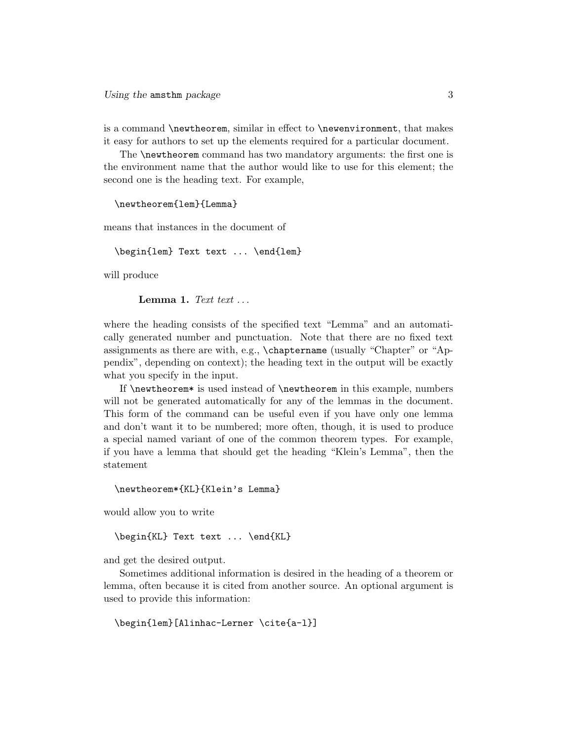is a command \newtheorem, similar in effect to \newenvironment, that makes it easy for authors to set up the elements required for a particular document.

The \newtheorem command has two mandatory arguments: the first one is the environment name that the author would like to use for this element; the second one is the heading text. For example,

```
\newtheorem{lem}{Lemma}
```
means that instances in the document of

```
\begin{lem} Text text ... \end{lem}
```
will produce

Lemma 1. Text text  $\dots$ 

where the heading consists of the specified text "Lemma" and an automatically generated number and punctuation. Note that there are no fixed text assignments as there are with, e.g., \chaptername (usually "Chapter" or "Appendix", depending on context); the heading text in the output will be exactly what you specify in the input.

If \newtheorem\* is used instead of \newtheorem in this example, numbers will not be generated automatically for any of the lemmas in the document. This form of the command can be useful even if you have only one lemma and don't want it to be numbered; more often, though, it is used to produce a special named variant of one of the common theorem types. For example, if you have a lemma that should get the heading "Klein's Lemma", then the statement

\newtheorem\*{KL}{Klein's Lemma}

would allow you to write

\begin{KL} Text text ... \end{KL}

and get the desired output.

Sometimes additional information is desired in the heading of a theorem or lemma, often because it is cited from another source. An optional argument is used to provide this information:

```
\begin{lem}[Alinhac-Lerner \cite{a-l}]
```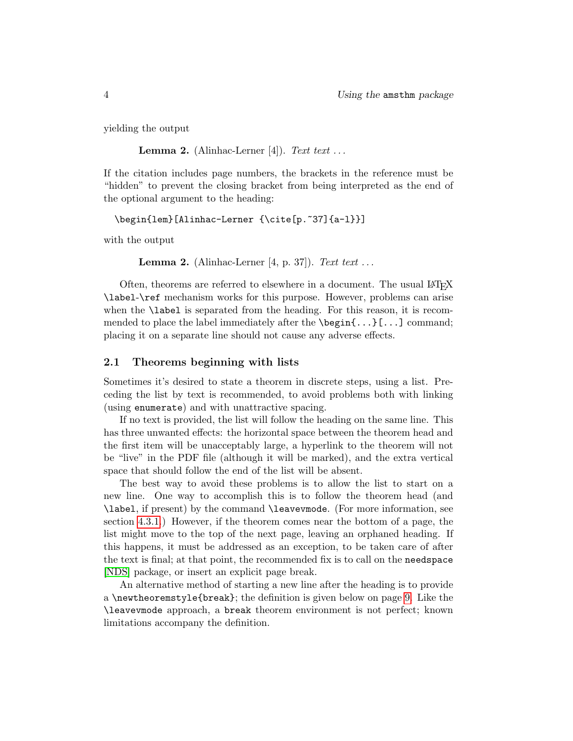yielding the output

**Lemma 2.** (Alinhac-Lerner [4]). Text text ...

If the citation includes page numbers, the brackets in the reference must be "hidden" to prevent the closing bracket from being interpreted as the end of the optional argument to the heading:

```
\begin{lem}[Alinhac-Lerner {\cite[p.~37]{a-l}}]
```
with the output

```
Lemma 2. (Alinhac-Lerner [4, p. 37]). Text text ...
```
Often, theorems are referred to elsewhere in a document. The usual LAT<sub>EX</sub> \label-\ref mechanism works for this purpose. However, problems can arise when the **\label** is separated from the heading. For this reason, it is recommended to place the label immediately after the  $\begin{bmatrix} 0 & \cdots \end{bmatrix}$  command; placing it on a separate line should not cause any adverse effects.

#### <span id="page-3-0"></span>2.1 Theorems beginning with lists

Sometimes it's desired to state a theorem in discrete steps, using a list. Preceding the list by text is recommended, to avoid problems both with linking (using enumerate) and with unattractive spacing.

If no text is provided, the list will follow the heading on the same line. This has three unwanted effects: the horizontal space between the theorem head and the first item will be unacceptably large, a hyperlink to the theorem will not be "live" in the PDF file (although it will be marked), and the extra vertical space that should follow the end of the list will be absent.

The best way to avoid these problems is to allow the list to start on a new line. One way to accomplish this is to follow the theorem head (and \label, if present) by the command \leavevmode. (For more information, see section [4.3.1.](#page-8-1)) However, if the theorem comes near the bottom of a page, the list might move to the top of the next page, leaving an orphaned heading. If this happens, it must be addressed as an exception, to be taken care of after the text is final; at that point, the recommended fix is to call on the needspace [\[NDS\]](#page-14-1) package, or insert an explicit page break.

An alternative method of starting a new line after the heading is to provide a \newtheoremstyle{break}; the definition is given below on page [9.](#page-8-1) Like the \leavevmode approach, a break theorem environment is not perfect; known limitations accompany the definition.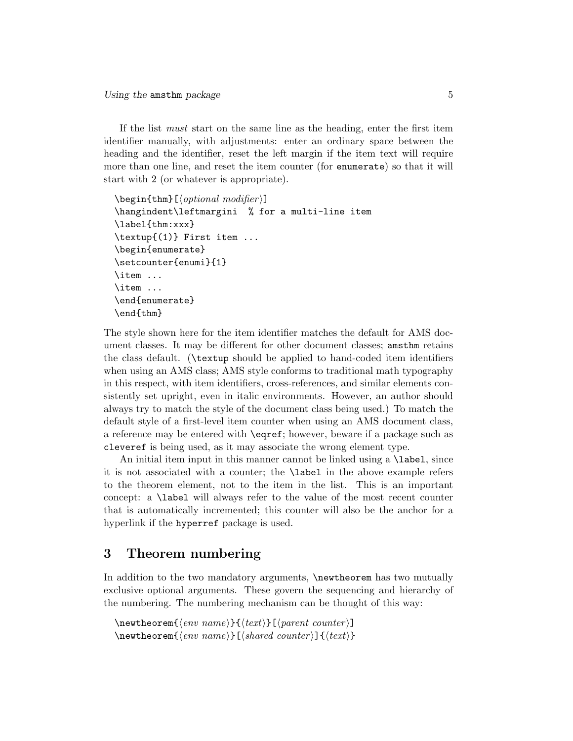If the list must start on the same line as the heading, enter the first item identifier manually, with adjustments: enter an ordinary space between the heading and the identifier, reset the left margin if the item text will require more than one line, and reset the item counter (for enumerate) so that it will start with 2 (or whatever is appropriate).

```
\begin{subarray}{c}\n\text{begin{pmatrix}\n\text{thm}}\n\end{subarray} (optional \, modifier) \end{subarray}\hangindent\leftmargini % for a multi-line item
\label{thm:xxx}
\textup{(1)} First item ...
\begin{enumerate}
\setcounter{enumi}{1}
\item ...
\item ...
\end{enumerate}
\end{thm}
```
The style shown here for the item identifier matches the default for AMS document classes. It may be different for other document classes; amsthm retains the class default. (\textup should be applied to hand-coded item identifiers when using an AMS class; AMS style conforms to traditional math typography in this respect, with item identifiers, cross-references, and similar elements consistently set upright, even in italic environments. However, an author should always try to match the style of the document class being used.) To match the default style of a first-level item counter when using an AMS document class, a reference may be entered with \eqref; however, beware if a package such as cleveref is being used, as it may associate the wrong element type.

An initial item input in this manner cannot be linked using a **\label**, since it is not associated with a counter; the \label in the above example refers to the theorem element, not to the item in the list. This is an important concept: a \label will always refer to the value of the most recent counter that is automatically incremented; this counter will also be the anchor for a hyperlink if the hyperref package is used.

### <span id="page-4-0"></span>3 Theorem numbering

In addition to the two mandatory arguments,  $\lambda$  hew theorem has two mutually exclusive optional arguments. These govern the sequencing and hierarchy of the numbering. The numbering mechanism can be thought of this way:

```
\mathcal{h}(env \ name)}{\text{\texttt{parent} counter}]
\mathcal{\langle env \ name}[\{ \] \} [\langle shared \ counter \] {\langle text \rangle}
```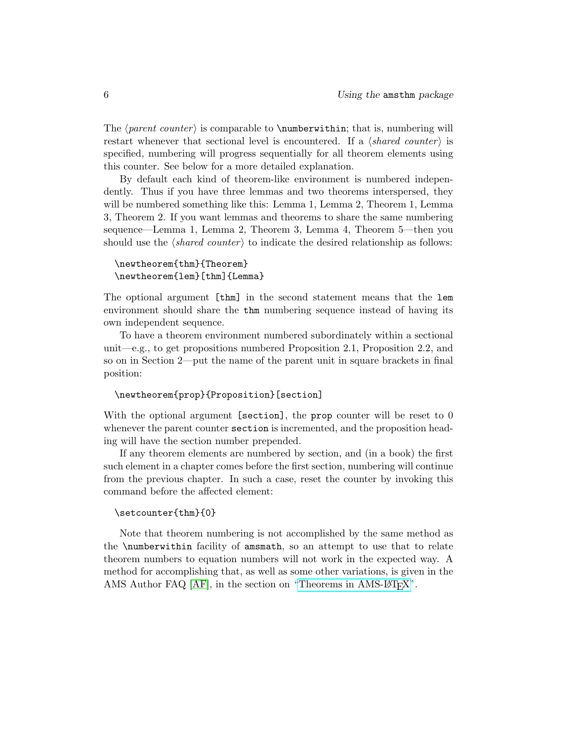The  $\{parent\ counter\}$  is comparable to  $\mathcal{I}$  is  $\mathcal{I}$  is  $\mathcal{I}$  is  $\mathcal{I}$  is  $\mathcal{I}$  is  $\mathcal{I}$  is  $\mathcal{I}$  is  $\mathcal{I}$  is  $\mathcal{I}$  is  $\mathcal{I}$  is  $\mathcal{I}$  is  $\mathcal{I}$  is  $\mathcal{I}$  is  $\mathcal{I}$  is  $\mathcal{I}$  is  $\mathcal{I}$  i restart whenever that sectional level is encountered. If a  $\langle shared\ counter\rangle$  is specified, numbering will progress sequentially for all theorem elements using this counter. See below for a more detailed explanation.

By default each kind of theorem-like environment is numbered independently. Thus if you have three lemmas and two theorems interspersed, they will be numbered something like this: Lemma 1, Lemma 2, Theorem 1, Lemma 3, Theorem 2. If you want lemmas and theorems to share the same numbering sequence—Lemma 1, Lemma 2, Theorem 3, Lemma 4, Theorem 5—then you should use the  $\langle shared\ counter\rangle$  to indicate the desired relationship as follows:

#### \newtheorem{thm}{Theorem} \newtheorem{lem}[thm]{Lemma}

The optional argument [thm] in the second statement means that the lem environment should share the thm numbering sequence instead of having its own independent sequence.

To have a theorem environment numbered subordinately within a sectional unit—e.g., to get propositions numbered Proposition 2.1, Proposition 2.2, and so on in Section 2—put the name of the parent unit in square brackets in final position:

#### \newtheorem{prop}{Proposition}[section]

With the optional argument [section], the prop counter will be reset to 0 whenever the parent counter section is incremented, and the proposition heading will have the section number prepended.

If any theorem elements are numbered by section, and (in a book) the first such element in a chapter comes before the first section, numbering will continue from the previous chapter. In such a case, reset the counter by invoking this command before the affected element:

#### \setcounter{thm}{0}

Note that theorem numbering is not accomplished by the same method as the \numberwithin facility of amsmath, so an attempt to use that to relate theorem numbers to equation numbers will not work in the expected way. A method for accomplishing that, as well as some other variations, is given in the AMS Author FAQ [\[AF\]](#page-14-2), in the section on ["Theorems in AMS-L](http://www.ams.org//faq?class_id=561)AT<sub>EX</sub>".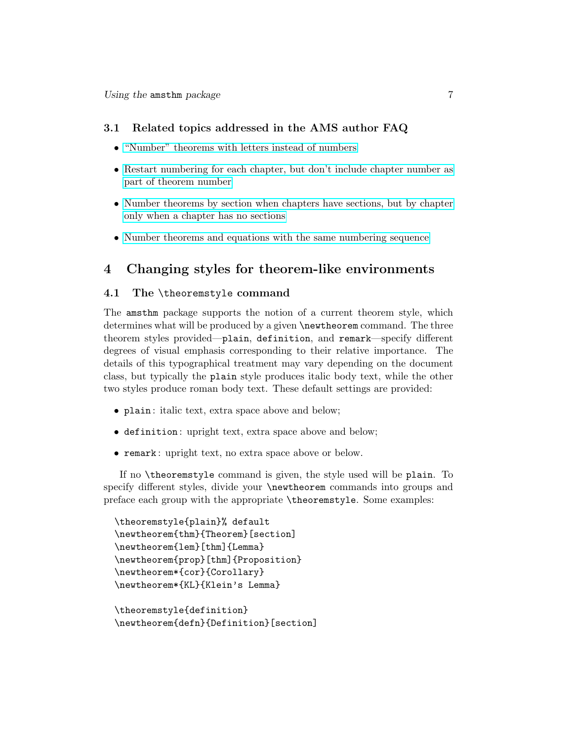#### <span id="page-6-0"></span>3.1 Related topics addressed in the AMS author FAQ

- ["Number" theorems with letters instead of numbers](http://www.ams.org/faq?faq_id=199)
- [Restart numbering for each chapter, but don't include chapter number as](http://www.ams.org/faq?faq_id=200) [part of theorem number](http://www.ams.org/faq?faq_id=200)
- [Number theorems by section when chapters have sections, but by chapter](http://www.ams.org/faq?faq_id=202) [only when a chapter has no sections](http://www.ams.org/faq?faq_id=202)
- [Number theorems and equations with the same numbering sequence](http://www.ams.org/faq?faq_id=289)

## <span id="page-6-1"></span>4 Changing styles for theorem-like environments

#### <span id="page-6-2"></span>4.1 The \theoremstyle command

The amsthm package supports the notion of a current theorem style, which determines what will be produced by a given \newtheorem command. The three theorem styles provided—plain, definition, and remark—specify different degrees of visual emphasis corresponding to their relative importance. The details of this typographical treatment may vary depending on the document class, but typically the plain style produces italic body text, while the other two styles produce roman body text. These default settings are provided:

- plain: italic text, extra space above and below;
- definition : upright text, extra space above and below;
- remark : upright text, no extra space above or below.

If no \theoremstyle command is given, the style used will be plain. To specify different styles, divide your \newtheorem commands into groups and preface each group with the appropriate \theoremstyle. Some examples:

```
\theoremstyle{plain}% default
\newtheorem{thm}{Theorem}[section]
\newtheorem{lem}[thm]{Lemma}
\newtheorem{prop}[thm]{Proposition}
\newtheorem*{cor}{Corollary}
\newtheorem*{KL}{Klein's Lemma}
```

```
\theoremstyle{definition}
\newtheorem{defn}{Definition}[section]
```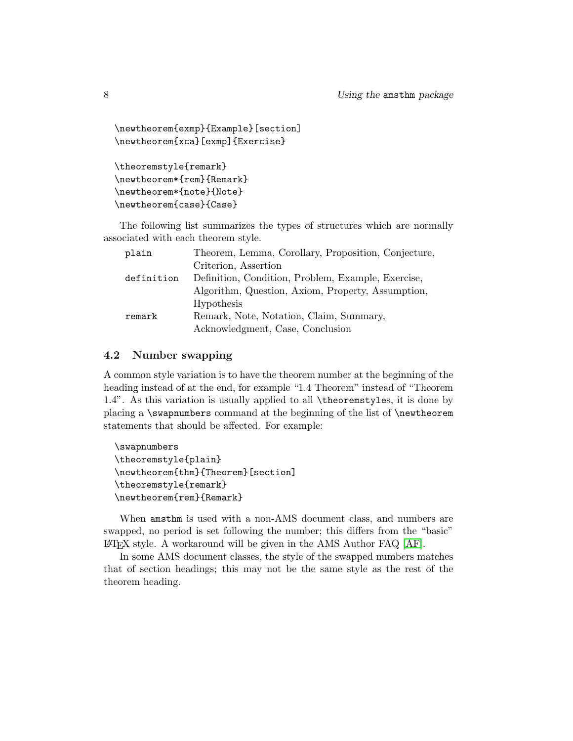```
\newtheorem{exmp}{Example}[section]
\newtheorem{xca}[exmp]{Exercise}
\theoremstyle{remark}
\newtheorem*{rem}{Remark}
\newtheorem*{note}{Note}
```
\newtheorem{case}{Case}

The following list summarizes the types of structures which are normally associated with each theorem style.

| plain      | Theorem, Lemma, Corollary, Proposition, Conjecture, |
|------------|-----------------------------------------------------|
|            | Criterion, Assertion                                |
| definition | Definition, Condition, Problem, Example, Exercise,  |
|            | Algorithm, Question, Axiom, Property, Assumption,   |
|            | Hypothesis                                          |
| remark     | Remark, Note, Notation, Claim, Summary,             |
|            | Acknowledgment, Case, Conclusion                    |

#### <span id="page-7-0"></span>4.2 Number swapping

A common style variation is to have the theorem number at the beginning of the heading instead of at the end, for example "1.4 Theorem" instead of "Theorem 1.4". As this variation is usually applied to all \theoremstyles, it is done by placing a \swapnumbers command at the beginning of the list of \newtheorem statements that should be affected. For example:

```
\swapnumbers
\theoremstyle{plain}
\newtheorem{thm}{Theorem}[section]
\theoremstyle{remark}
\newtheorem{rem}{Remark}
```
When amsthm is used with a non-AMS document class, and numbers are swapped, no period is set following the number; this differs from the "basic" LATEX style. A workaround will be given in the AMS Author FAQ [\[AF\]](#page-14-2).

In some AMS document classes, the style of the swapped numbers matches that of section headings; this may not be the same style as the rest of the theorem heading.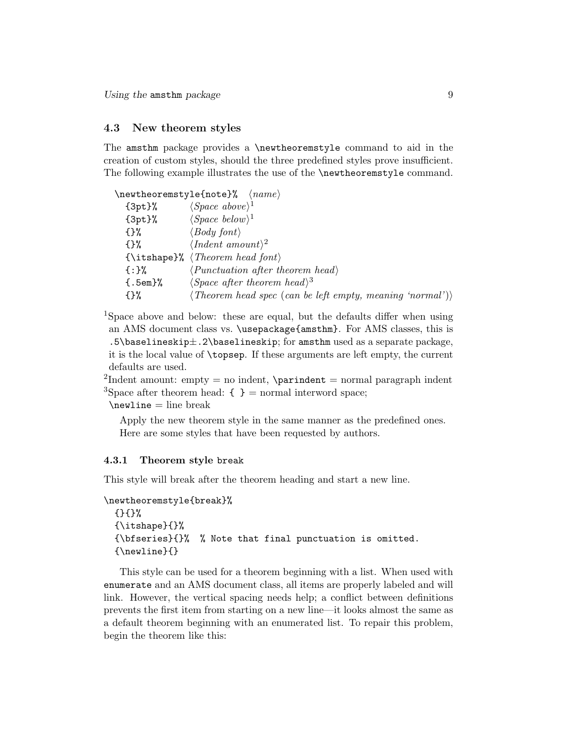Using the amsthm package  $9$ 

#### <span id="page-8-0"></span>4.3 New theorem styles

The amsthm package provides a \newtheoremstyle command to aid in the creation of custom styles, should the three predefined styles prove insufficient. The following example illustrates the use of the **\newtheoremstyle** command.

|                              | $\mathcal{S}$ (newtheoremstyle {note}% $\langle name \rangle$                                         |
|------------------------------|-------------------------------------------------------------------------------------------------------|
| $\{3pt\}$ %                  | $\langle Space\ above \rangle^1$                                                                      |
| $\{3pt\}\%$                  | $\langle Space\ below \rangle^1$                                                                      |
| {}%                          | $\langle Body\ font\rangle$                                                                           |
| $\{3\}$                      | $\langle Indent\ amount\rangle^2$                                                                     |
|                              | $\{\text{itshape}\}, \ \text{Theorem head font}\}$                                                    |
| $\{:\}$ %                    | $\langle Punctuation\ after\ theorem\ head \rangle$                                                   |
| $\mathcal{E}.\mathsf{5em}\%$ | $\langle Space\ after\ theorem\ head \rangle^3$                                                       |
| {}%                          | $\langle Theorem \textit{head} \textit{spec} \textit{ (can be left empty, meaning 'normal')} \rangle$ |

<sup>1</sup>Space above and below: these are equal, but the defaults differ when using an AMS document class vs. \usepackage{amsthm}. For AMS classes, this is .5\baselineskip $\pm$ .2\baselineskip; for amsthm used as a separate package, it is the local value of \topsep. If these arguments are left empty, the current defaults are used.

<sup>2</sup>Indent amount: empty = no indent, \parindent = normal paragraph indent <sup>3</sup>Space after theorem head:  $\{ \}$  = normal interword space;

 $\neq$ 

Apply the new theorem style in the same manner as the predefined ones. Here are some styles that have been requested by authors.

#### <span id="page-8-1"></span>4.3.1 Theorem style break

This style will break after the theorem heading and start a new line.

```
\newtheoremstyle{break}%
  {}{}%
  {\itshape}{}%
  {\bfseries}{}% % Note that final punctuation is omitted.
  {\newline}{}
```
This style can be used for a theorem beginning with a list. When used with enumerate and an AMS document class, all items are properly labeled and will link. However, the vertical spacing needs help; a conflict between definitions prevents the first item from starting on a new line—it looks almost the same as a default theorem beginning with an enumerated list. To repair this problem, begin the theorem like this: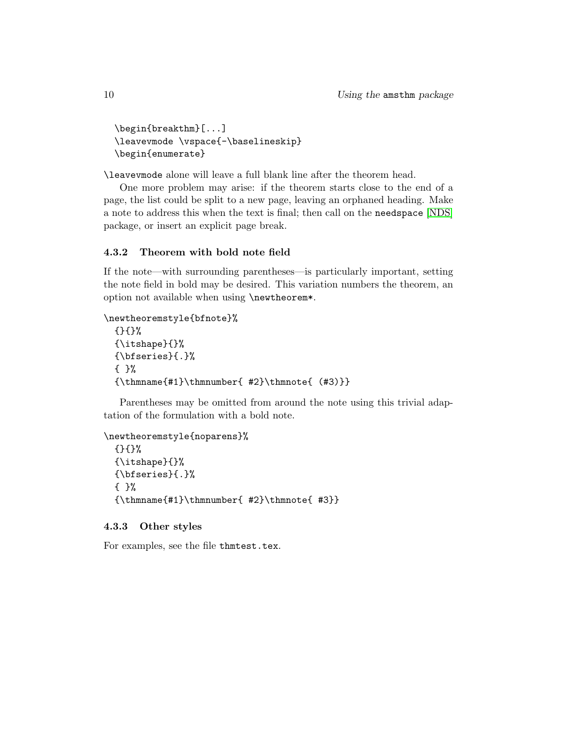```
\begin{breakthm}[...]
\leavevmode \vspace{-\baselineskip}
\begin{enumerate}
```
\leavevmode alone will leave a full blank line after the theorem head.

One more problem may arise: if the theorem starts close to the end of a page, the list could be split to a new page, leaving an orphaned heading. Make a note to address this when the text is final; then call on the needspace [\[NDS\]](#page-14-1) package, or insert an explicit page break.

#### 4.3.2 Theorem with bold note field

If the note—with surrounding parentheses—is particularly important, setting the note field in bold may be desired. This variation numbers the theorem, an option not available when using \newtheorem\*.

```
\newtheoremstyle{bfnote}%
```

```
{}{}%
{\itshape}{}%
{\bfseries}{.}%
{ }%
{\thmname{#1}}\thm number{ #2}\thmnote{ (#3)}\}
```
Parentheses may be omitted from around the note using this trivial adaptation of the formulation with a bold note.

```
\newtheoremstyle{noparens}%
  {}{}%
  {\itshape}{}%
  {\bfseries}{.}%
  { }%
  {\thmname{#1}\thmnumber{ #2}\thmnote{ #3}}
```
#### 4.3.3 Other styles

For examples, see the file thmtest.tex.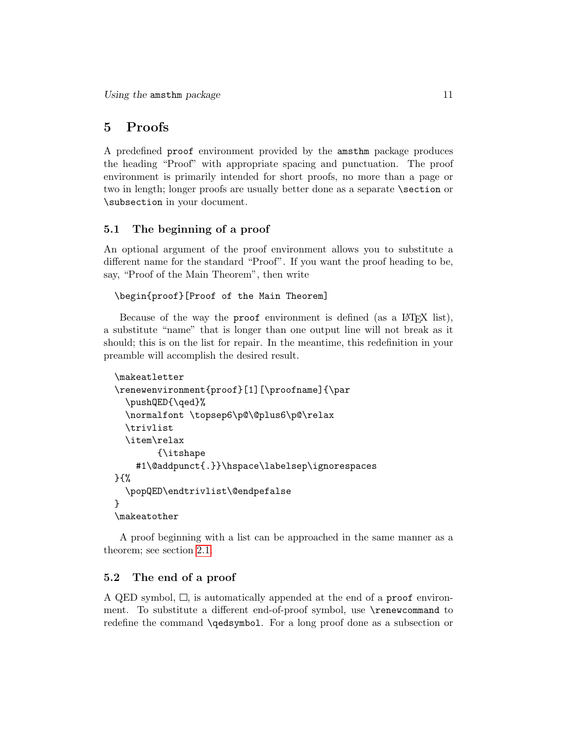## <span id="page-10-0"></span>5 Proofs

A predefined proof environment provided by the amsthm package produces the heading "Proof" with appropriate spacing and punctuation. The proof environment is primarily intended for short proofs, no more than a page or two in length; longer proofs are usually better done as a separate  $\setminus$  section or \subsection in your document.

## <span id="page-10-1"></span>5.1 The beginning of a proof

An optional argument of the proof environment allows you to substitute a different name for the standard "Proof". If you want the proof heading to be, say, "Proof of the Main Theorem", then write

```
\begin{proof}[Proof of the Main Theorem]
```
Because of the way the proof environment is defined (as a L<sup>AT</sup>EX list), a substitute "name" that is longer than one output line will not break as it should; this is on the list for repair. In the meantime, this redefinition in your preamble will accomplish the desired result.

```
\makeatletter
\renewenvironment{proof}[1][\proofname]{\par
  \pushQED{\qed}%
  \normalfont \topsep6\p@\@plus6\p@\relax
  \trivlist
  \item\relax
        {\itshape
    #1\@addpunct{.}}\hspace\labelsep\ignorespaces
}{%
  \popQED\endtrivlist\@endpefalse
}
\makeatother
```
A proof beginning with a list can be approached in the same manner as a theorem; see section [2.1.](#page-3-0)

### <span id="page-10-2"></span>5.2 The end of a proof

A QED symbol,  $\Box$ , is automatically appended at the end of a proof environment. To substitute a different end-of-proof symbol, use \renewcommand to redefine the command \qedsymbol. For a long proof done as a subsection or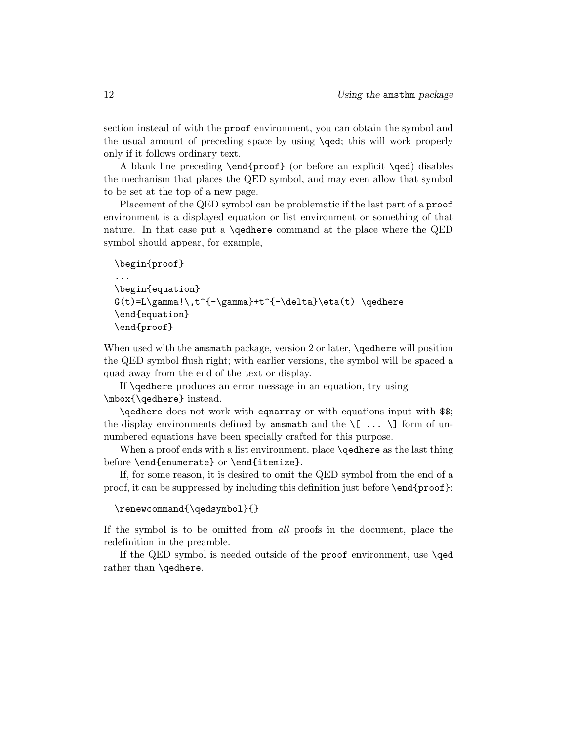section instead of with the proof environment, you can obtain the symbol and the usual amount of preceding space by using \qed; this will work properly only if it follows ordinary text.

A blank line preceding \end{proof} (or before an explicit \qed) disables the mechanism that places the QED symbol, and may even allow that symbol to be set at the top of a new page.

Placement of the QED symbol can be problematic if the last part of a proof environment is a displayed equation or list environment or something of that nature. In that case put a \qedhere command at the place where the QED symbol should appear, for example,

```
\begin{proof}
...
\begin{equation}
G(t)=L\gamma!\,t^{\{-\gamma\}}+t^{\{-\delta\}}\eta(t) \qquad \qquad\end{equation}
\end{proof}
```
When used with the amsmath package, version 2 or later, **\qedhere** will position the QED symbol flush right; with earlier versions, the symbol will be spaced a quad away from the end of the text or display.

If \qedhere produces an error message in an equation, try using \mbox{\qedhere} instead.

\qedhere does not work with eqnarray or with equations input with \$\$; the display environments defined by amsmath and the  $\{ \ldots \}$  form of unnumbered equations have been specially crafted for this purpose.

When a proof ends with a list environment, place **\qedhere** as the last thing before \end{enumerate} or \end{itemize}.

If, for some reason, it is desired to omit the QED symbol from the end of a proof, it can be suppressed by including this definition just before \end{proof}:

```
\renewcommand{\qedsymbol}{}
```
If the symbol is to be omitted from all proofs in the document, place the redefinition in the preamble.

If the QED symbol is needed outside of the proof environment, use \qed rather than **\qedhere**.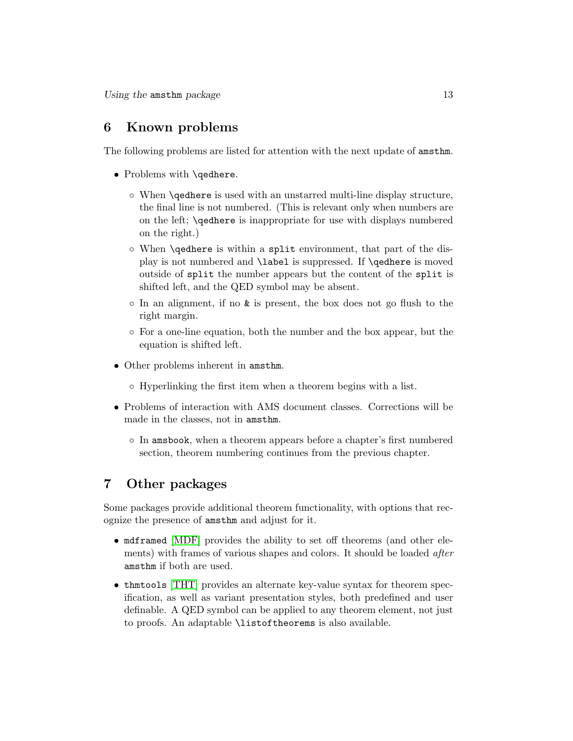## <span id="page-12-0"></span>6 Known problems

The following problems are listed for attention with the next update of amsthm.

- Problems with \qedhere.
	- When \qedhere is used with an unstarred multi-line display structure, the final line is not numbered. (This is relevant only when numbers are on the left; \qedhere is inappropriate for use with displays numbered on the right.)
	- When \qedhere is within a split environment, that part of the display is not numbered and \label is suppressed. If \qedhere is moved outside of split the number appears but the content of the split is shifted left, and the QED symbol may be absent.
	- In an alignment, if no & is present, the box does not go flush to the right margin.
	- For a one-line equation, both the number and the box appear, but the equation is shifted left.
- Other problems inherent in amsthm.
	- Hyperlinking the first item when a theorem begins with a list.
- Problems of interaction with AMS document classes. Corrections will be made in the classes, not in amsthm.
	- In amsbook, when a theorem appears before a chapter's first numbered section, theorem numbering continues from the previous chapter.

## <span id="page-12-1"></span>7 Other packages

Some packages provide additional theorem functionality, with options that recognize the presence of amsthm and adjust for it.

- mdframed [\[MDF\]](#page-14-3) provides the ability to set off theorems (and other elements) with frames of various shapes and colors. It should be loaded after amsthm if both are used.
- thmtools [\[THT\]](#page-14-4) provides an alternate key-value syntax for theorem specification, as well as variant presentation styles, both predefined and user definable. A QED symbol can be applied to any theorem element, not just to proofs. An adaptable \listoftheorems is also available.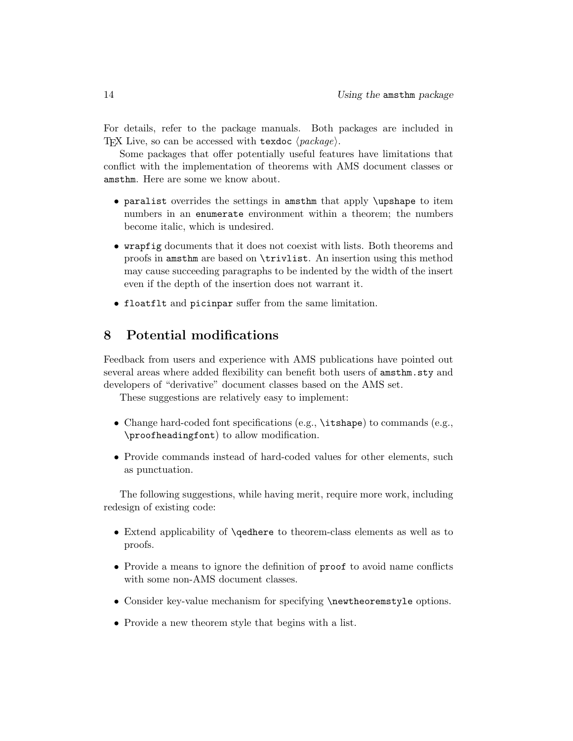For details, refer to the package manuals. Both packages are included in TEX Live, so can be accessed with texdoc  $\langle package \rangle$ .

Some packages that offer potentially useful features have limitations that conflict with the implementation of theorems with AMS document classes or amsthm. Here are some we know about.

- paralist overrides the settings in amsthm that apply \upshape to item numbers in an enumerate environment within a theorem; the numbers become italic, which is undesired.
- wrapfig documents that it does not coexist with lists. Both theorems and proofs in amsthm are based on \trivlist. An insertion using this method may cause succeeding paragraphs to be indented by the width of the insert even if the depth of the insertion does not warrant it.
- floatflt and picinpar suffer from the same limitation.

## <span id="page-13-0"></span>8 Potential modifications

Feedback from users and experience with AMS publications have pointed out several areas where added flexibility can benefit both users of amsthm.sty and developers of "derivative" document classes based on the AMS set.

These suggestions are relatively easy to implement:

- Change hard-coded font specifications (e.g., \itshape) to commands (e.g., \proofheadingfont) to allow modification.
- Provide commands instead of hard-coded values for other elements, such as punctuation.

The following suggestions, while having merit, require more work, including redesign of existing code:

- Extend applicability of \qedhere to theorem-class elements as well as to proofs.
- Provide a means to ignore the definition of proof to avoid name conflicts with some non-AMS document classes.
- Consider key-value mechanism for specifying \newtheoremstyle options.
- Provide a new theorem style that begins with a list.